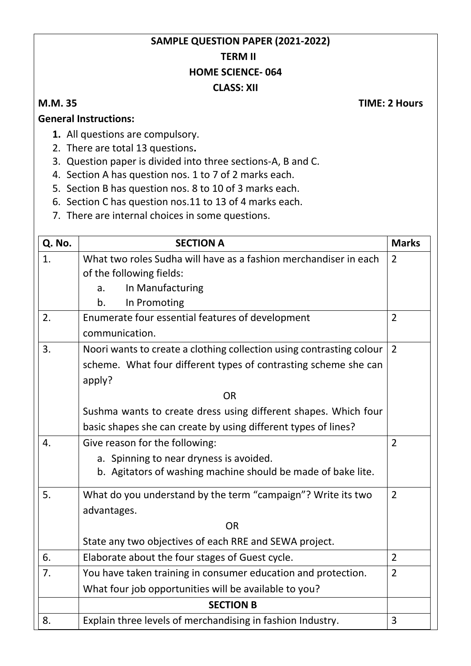## **SAMPLE QUESTION PAPER (2021-2022) TERM II HOME SCIENCE- 064 CLASS: XII**

**M.M. 35 TIME: 2 Hours**

## **General Instructions:**

- **1.** All questions are compulsory.
- 2. There are total 13 questions**.**
- 3. Question paper is divided into three sections-A, B and C.
- 4. Section A has question nos. 1 to 7 of 2 marks each.
- 5. Section B has question nos. 8 to 10 of 3 marks each.
- 6. Section C has question nos.11 to 13 of 4 marks each.
- 7. There are internal choices in some questions.

| Q. No. | <b>SECTION A</b>                                                     | <b>Marks</b>   |
|--------|----------------------------------------------------------------------|----------------|
| 1.     | What two roles Sudha will have as a fashion merchandiser in each     | $\overline{2}$ |
|        | of the following fields:                                             |                |
|        | In Manufacturing<br>a.                                               |                |
|        | In Promoting<br>b.                                                   |                |
| 2.     | Enumerate four essential features of development                     | $\overline{2}$ |
|        | communication.                                                       |                |
| 3.     | Noori wants to create a clothing collection using contrasting colour | $\overline{2}$ |
|        | scheme. What four different types of contrasting scheme she can      |                |
|        | apply?                                                               |                |
|        | <b>OR</b>                                                            |                |
|        | Sushma wants to create dress using different shapes. Which four      |                |
|        | basic shapes she can create by using different types of lines?       |                |
| 4.     | Give reason for the following:                                       | $\overline{2}$ |
|        | a. Spinning to near dryness is avoided.                              |                |
|        | b. Agitators of washing machine should be made of bake lite.         |                |
| 5.     | What do you understand by the term "campaign"? Write its two         | $\overline{2}$ |
|        | advantages.                                                          |                |
|        | <b>OR</b>                                                            |                |
|        | State any two objectives of each RRE and SEWA project.               |                |
| 6.     | Elaborate about the four stages of Guest cycle.                      | $\overline{2}$ |
| 7.     | You have taken training in consumer education and protection.        | $\overline{2}$ |
|        | What four job opportunities will be available to you?                |                |
|        | <b>SECTION B</b>                                                     |                |
| 8.     | Explain three levels of merchandising in fashion Industry.           | 3              |